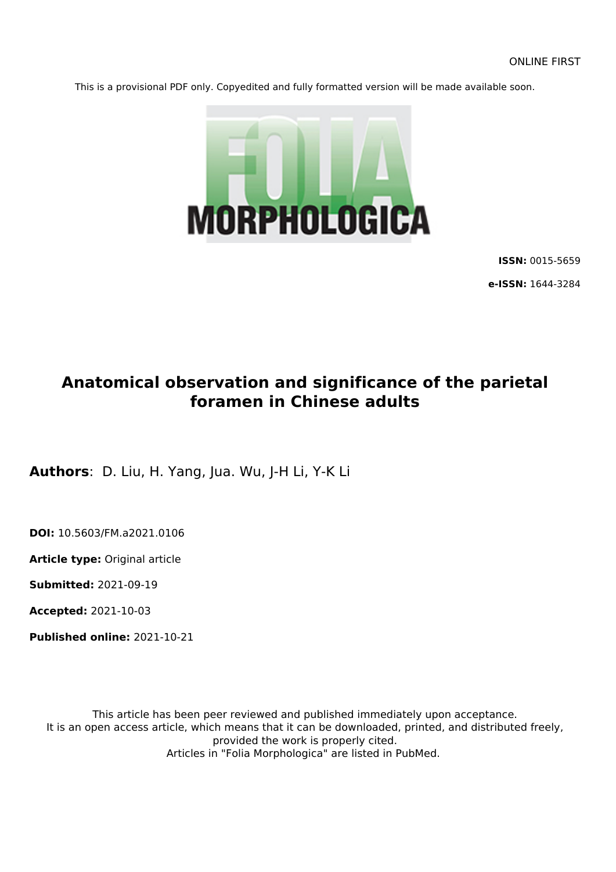This is a provisional PDF only. Copyedited and fully formatted version will be made available soon.



**ISSN:** 0015-5659

**e-ISSN:** 1644-3284

# **Anatomical observation and significance of the parietal foramen in Chinese adults**

**Authors**: D. Liu, H. Yang, Jua. Wu, J-H Li, Y-K Li

**DOI:** 10.5603/FM.a2021.0106

**Article type:** Original article

**Submitted:** 2021-09-19

**Accepted:** 2021-10-03

**Published online:** 2021-10-21

This article has been peer reviewed and published immediately upon acceptance. It is an open access article, which means that it can be downloaded, printed, and distributed freely, provided the work is properly cited. Articles in "Folia Morphologica" are listed in PubMed.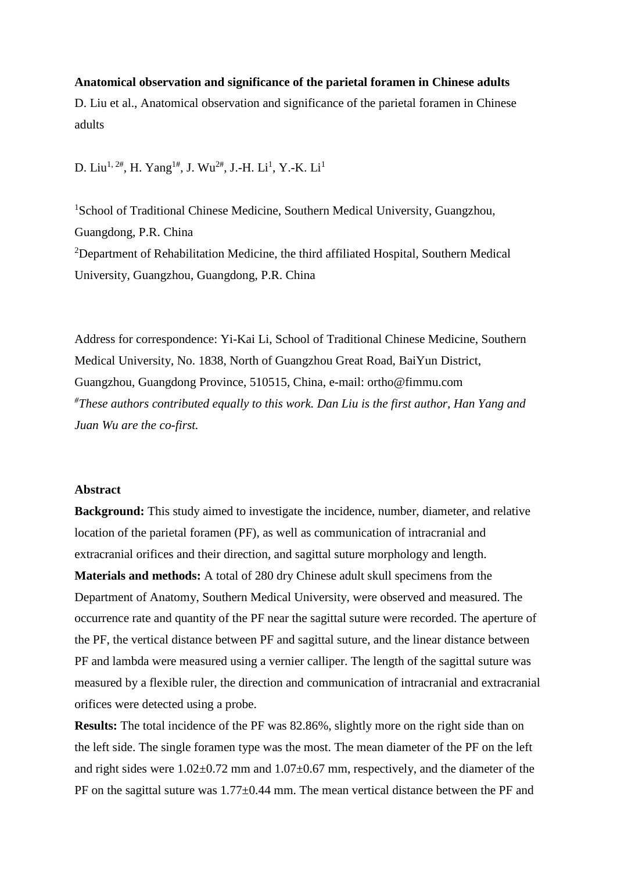# **Anatomical observation and significance of the parietal foramen in Chinese adults**

D. Liu et al., Anatomical observation and significance of the parietal foramen in Chinese adults

D. Liu<sup>1, 2#</sup>, H. Yang<sup>1#</sup>, J. Wu<sup>2#</sup>, J.-H. Li<sup>1</sup>, Y.-K. Li<sup>1</sup>

<sup>1</sup>School of Traditional Chinese Medicine, Southern Medical University, Guangzhou, Guangdong, P.R. China <sup>2</sup>Department of Rehabilitation Medicine, the third affiliated Hospital, Southern Medical University, Guangzhou, Guangdong, P.R. China

Address for correspondence: Yi-Kai Li, School of Traditional Chinese Medicine, Southern Medical University, No. 1838, North of Guangzhou Great Road, BaiYun District, Guangzhou, Guangdong Province, 510515, China, e-mail: ortho@fimmu.com *# These authors contributed equally to this work. Dan Liu is the first author, Han Yang and Juan Wu are the co-first.*

# **Abstract**

**Background:** This study aimed to investigate the incidence, number, diameter, and relative location of the parietal foramen (PF), as well as communication of intracranial and extracranial orifices and their direction, and sagittal suture morphology and length.

**Materials and methods:** A total of 280 dry Chinese adult skull specimens from the Department of Anatomy, Southern Medical University, were observed and measured. The occurrence rate and quantity of the PF near the sagittal suture were recorded. The aperture of the PF, the vertical distance between PF and sagittal suture, and the linear distance between PF and lambda were measured using a vernier calliper. The length of the sagittal suture was measured by a flexible ruler, the direction and communication of intracranial and extracranial orifices were detected using a probe.

**Results:** The total incidence of the PF was 82.86%, slightly more on the right side than on the left side. The single foramen type was the most. The mean diameter of the PF on the left and right sides were  $1.02 \pm 0.72$  mm and  $1.07 \pm 0.67$  mm, respectively, and the diameter of the PF on the sagittal suture was  $1.77 \pm 0.44$  mm. The mean vertical distance between the PF and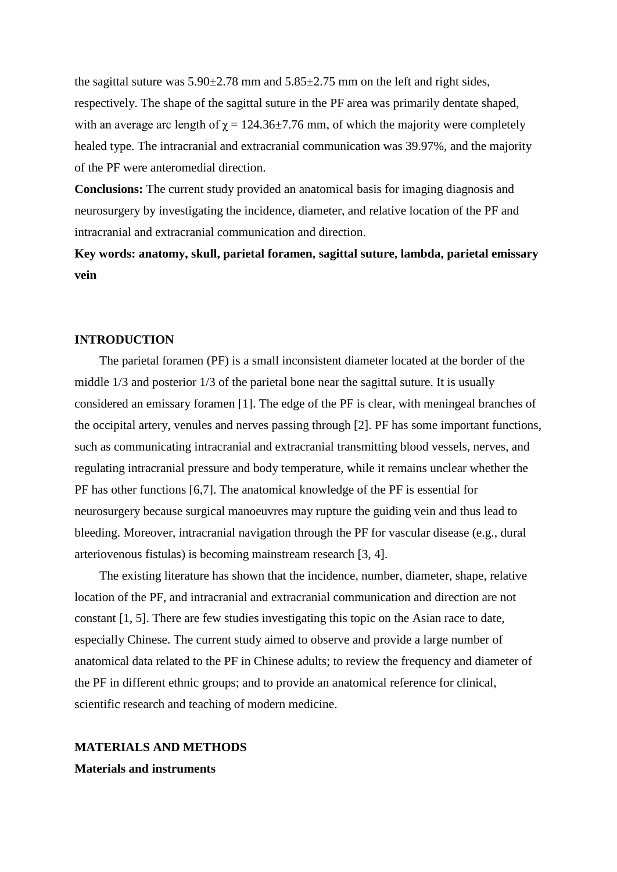the sagittal suture was  $5.90\pm2.78$  mm and  $5.85\pm2.75$  mm on the left and right sides, respectively. The shape of the sagittal suture in the PF area was primarily dentate shaped, with an average arc length of  $\gamma = 124.36 \pm 7.76$  mm, of which the majority were completely healed type. The intracranial and extracranial communication was 39.97%, and the majority of the PF were anteromedial direction.

**Conclusions:** The current study provided an anatomical basis for imaging diagnosis and neurosurgery by investigating the incidence, diameter, and relative location of the PF and intracranial and extracranial communication and direction.

**Key words: anatomy, skull, parietal foramen, sagittal suture, lambda, parietal emissary vein**

### **INTRODUCTION**

The parietal foramen (PF) is a small inconsistent diameter located at the border of the middle 1/3 and posterior 1/3 of the parietal bone near the sagittal suture. It is usually considered an emissary foramen [1]. The edge of the PF is clear, with meningeal branches of the occipital artery, venules and nerves passing through [2]. PF has some important functions, such as communicating intracranial and extracranial transmitting blood vessels, nerves, and regulating intracranial pressure and body temperature, while it remains unclear whether the PF has other functions [6,7]. The anatomical knowledge of the PF is essential for neurosurgery because surgical manoeuvres may rupture the guiding vein and thus lead to bleeding. Moreover, intracranial navigation through the PF for vascular disease (e.g., dural arteriovenous fistulas) is becoming mainstream research [3, 4].

The existing literature has shown that the incidence, number, diameter, shape, relative location of the PF, and intracranial and extracranial communication and direction are not constant [1, 5]. There are few studies investigating this topic on the Asian race to date, especially Chinese. The current study aimed to observe and provide a large number of anatomical data related to the PF in Chinese adults; to review the frequency and diameter of the PF in different ethnic groups; and to provide an anatomical reference for clinical, scientific research and teaching of modern medicine.

#### **MATERIALS AND METHODS**

**Materials and instruments**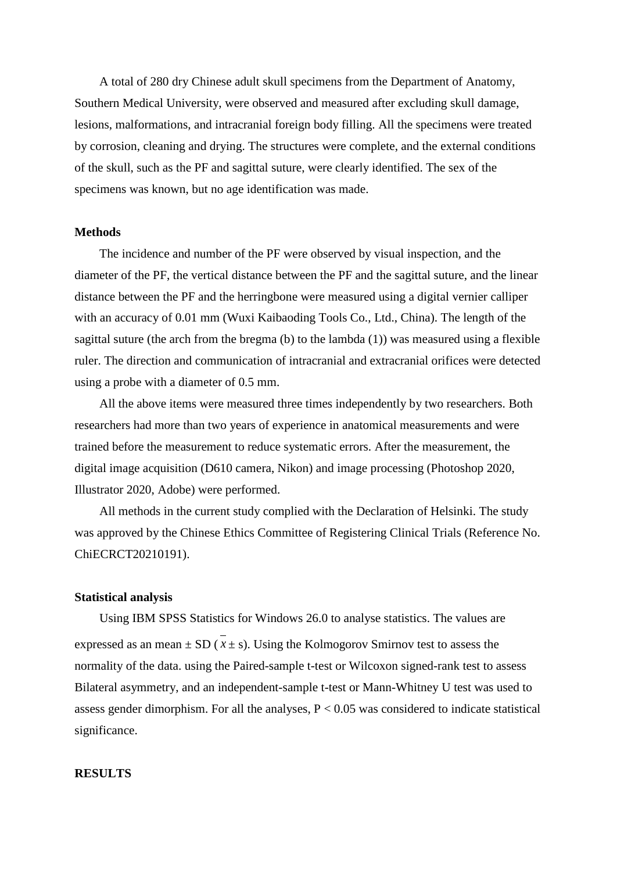A total of 280 dry Chinese adult skull specimens from the Department of Anatomy, Southern Medical University, were observed and measured after excluding skull damage, lesions, malformations, and intracranial foreign body filling. All the specimens were treated by corrosion, cleaning and drying. The structures were complete, and the external conditions of the skull, such as the PF and sagittal suture, were clearly identified. The sex of the specimens was known, but no age identification was made.

#### **Methods**

The incidence and number of the PF were observed by visual inspection, and the diameter of the PF, the vertical distance between the PF and the sagittal suture, and the linear distance between the PF and the herringbone were measured using a digital vernier calliper with an accuracy of 0.01 mm (Wuxi Kaibaoding Tools Co., Ltd., China). The length of the sagittal suture (the arch from the bregma  $(b)$  to the lambda  $(1)$ ) was measured using a flexible ruler. The direction and communication of intracranial and extracranial orifices were detected using a probe with a diameter of 0.5 mm.

All the above items were measured three times independently by two researchers. Both researchers had more than two years of experience in anatomical measurements and were trained before the measurement to reduce systematic errors. After the measurement, the digital image acquisition (D610 camera, Nikon) and image processing (Photoshop 2020, Illustrator 2020, Adobe) were performed.

All methods in the current study complied with the Declaration of Helsinki. The study was approved by the Chinese Ethics Committee of Registering Clinical Trials (Reference No. ChiECRCT20210191).

#### **Statistical analysis**

Using IBM SPSS Statistics for Windows 26.0 to analyse statistics. The values are expressed as an mean  $\pm$  SD ( $\overline{x}$  ± s). Using the Kolmogorov Smirnov test to assess the normality of the data. using the Paired-sample t-test or Wilcoxon signed-rank test to assess Bilateral asymmetry, and an independent-sample t-test or Mann-Whitney U test was used to assess gender dimorphism. For all the analyses,  $P < 0.05$  was considered to indicate statistical significance.

# **RESULTS**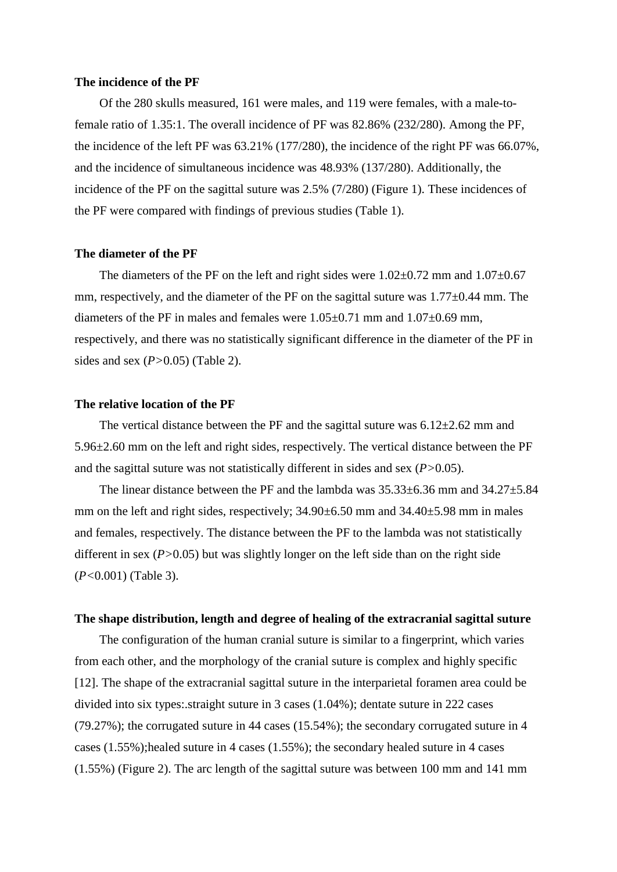#### **The incidence of the PF**

Of the 280 skulls measured, 161 were males, and 119 were females, with a male-tofemale ratio of 1.35:1. The overall incidence of PF was 82.86% (232/280). Among the PF, the incidence of the left PF was 63.21% (177/280), the incidence of the right PF was 66.07%, and the incidence of simultaneous incidence was 48.93% (137/280). Additionally, the incidence of the PF on the sagittal suture was 2.5% (7/280) (Figure 1). These incidences of the PF were compared with findings of previous studies (Table 1).

# **The diameter of the PF**

The diameters of the PF on the left and right sides were  $1.02\pm0.72$  mm and  $1.07\pm0.67$ mm, respectively, and the diameter of the PF on the sagittal suture was 1.77±0.44 mm. The diameters of the PF in males and females were 1.05±0.71 mm and 1.07±0.69 mm, respectively, and there was no statistically significant difference in the diameter of the PF in sides and sex (*P>*0.05) (Table 2).

#### **The relative location of the PF**

The vertical distance between the PF and the sagittal suture was  $6.12 \pm 2.62$  mm and 5.96±2.60 mm on the left and right sides, respectively. The vertical distance between the PF and the sagittal suture was not statistically different in sides and sex (*P>*0.05).

The linear distance between the PF and the lambda was  $35.33\pm 6.36$  mm and  $34.27\pm 5.84$ mm on the left and right sides, respectively; 34.90±6.50 mm and 34.40±5.98 mm in males and females, respectively. The distance between the PF to the lambda was not statistically different in sex (*P>*0.05) but was slightly longer on the left side than on the right side (*P<*0.001) (Table 3).

#### **The shape distribution, length and degree of healing of the extracranial sagittal suture**

The configuration of the human cranial suture is similar to a fingerprint, which varies from each other, and the morphology of the cranial suture is complex and highly specific [12]. The shape of the extracranial sagittal suture in the interparietal foramen area could be divided into six types:.straight suture in 3 cases (1.04%); dentate suture in 222 cases (79.27%); the corrugated suture in 44 cases (15.54%); the secondary corrugated suture in 4 cases  $(1.55\%)$ ; healed suture in 4 cases  $(1.55\%)$ ; the secondary healed suture in 4 cases (1.55%) (Figure 2). The arc length of the sagittal suture was between 100 mm and 141 mm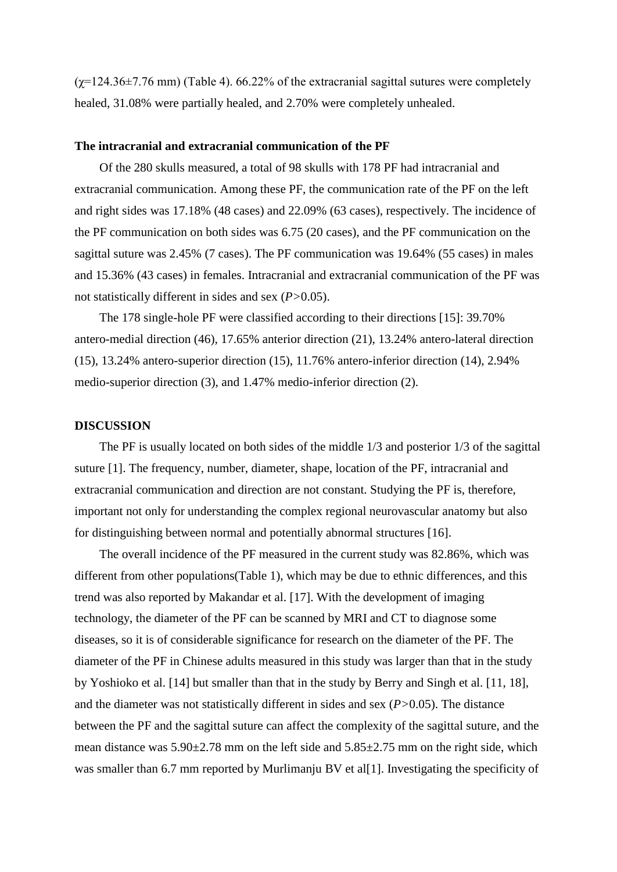$(\chi=124.36\pm7.76$  mm) (Table 4). 66.22% of the extracranial sagittal sutures were completely healed, 31.08% were partially healed, and 2.70% were completely unhealed.

# **The intracranial and extracranial communication of the PF**

Of the 280 skulls measured, a total of 98 skulls with 178 PF had intracranial and extracranial communication. Among these PF, the communication rate of the PF on the left and right sides was 17.18% (48 cases) and 22.09% (63 cases), respectively. The incidence of the PF communication on both sides was 6.75 (20 cases), and the PF communication on the sagittal suture was 2.45% (7 cases). The PF communication was 19.64% (55 cases) in males and 15.36% (43 cases) in females. Intracranial and extracranial communication of the PF was not statistically different in sides and sex (*P>*0.05).

The 178 single-hole PF were classified according to their directions [15]: 39.70% antero-medial direction (46), 17.65% anterior direction (21), 13.24% antero-lateral direction (15), 13.24% antero-superior direction (15), 11.76% antero-inferior direction (14), 2.94% medio-superior direction (3), and 1.47% medio-inferior direction (2).

# **DISCUSSION**

The PF is usually located on both sides of the middle 1/3 and posterior 1/3 of the sagittal suture [1]. The frequency, number, diameter, shape, location of the PF, intracranial and extracranial communication and direction are not constant. Studying the PF is, therefore, important not only for understanding the complex regional neurovascular anatomy but also for distinguishing between normal and potentially abnormal structures [16].

The overall incidence of the PF measured in the current study was 82.86%, which was different from other populations(Table 1), which may be due to ethnic differences, and this trend was also reported by Makandar et al. [17]. With the development of imaging technology, the diameter of the PF can be scanned by MRI and CT to diagnose some diseases, so it is of considerable significance for research on the diameter of the PF. The diameter of the PF in Chinese adults measured in this study was larger than that in the study by Yoshioko et al. [14] but smaller than that in the study by Berry and Singh et al. [11, 18], and the diameter was not statistically different in sides and sex (*P>*0.05). The distance between the PF and the sagittal suture can affect the complexity of the sagittal suture, and the mean distance was  $5.90\pm2.78$  mm on the left side and  $5.85\pm2.75$  mm on the right side, which was smaller than 6.7 mm reported by Murlimanju BV et al[1]. Investigating the specificity of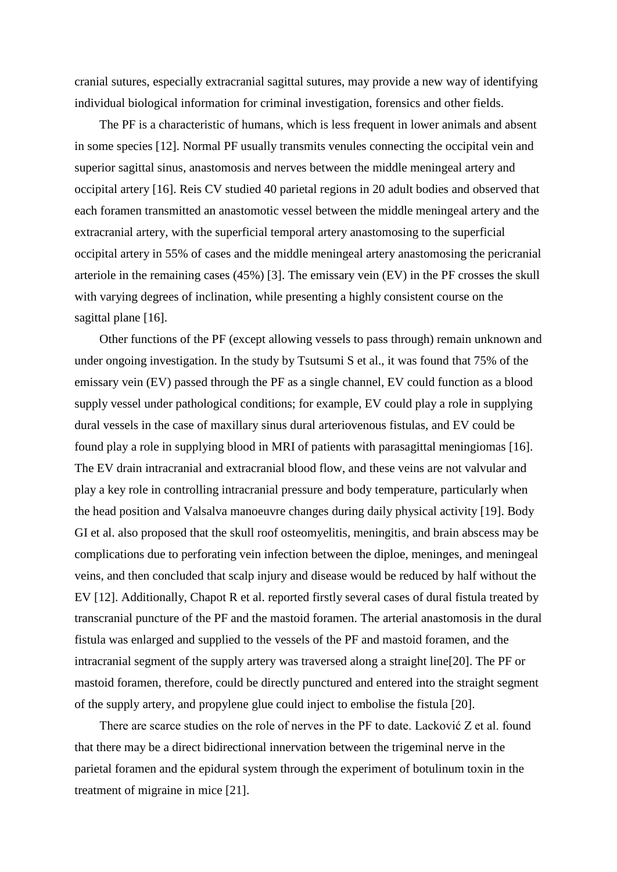cranial sutures, especially extracranial sagittal sutures, may provide a new way of identifying individual biological information for criminal investigation, forensics and other fields.

The PF is a characteristic of humans, which is less frequent in lower animals and absent in some species [12]. Normal PF usually transmits venules connecting the occipital vein and superior sagittal sinus, anastomosis and nerves between the middle meningeal artery and occipital artery [16]. Reis CV studied 40 parietal regions in 20 adult bodies and observed that each foramen transmitted an anastomotic vessel between the middle meningeal artery and the extracranial artery, with the superficial temporal artery anastomosing to the superficial occipital artery in 55% of cases and the middle meningeal artery anastomosing the pericranial arteriole in the remaining cases (45%) [3]. The emissary vein (EV) in the PF crosses the skull with varying degrees of inclination, while presenting a highly consistent course on the sagittal plane [16].

Other functions of the PF (except allowing vessels to pass through) remain unknown and under ongoing investigation. In the study by Tsutsumi S et al., it was found that 75% of the emissary vein (EV) passed through the PF as a single channel, EV could function as a blood supply vessel under pathological conditions; for example, EV could play a role in supplying dural vessels in the case of maxillary sinus dural arteriovenous fistulas, and EV could be found play a role in supplying blood in MRI of patients with parasagittal meningiomas [16]. The EV drain intracranial and extracranial blood flow, and these veins are not valvular and play a key role in controlling intracranial pressure and body temperature, particularly when the head position and Valsalva manoeuvre changes during daily physical activity [19]. Body GI et al. also proposed that the skull roof osteomyelitis, meningitis, and brain abscess may be complications due to perforating vein infection between the diploe, meninges, and meningeal veins, and then concluded that scalp injury and disease would be reduced by half without the EV [12]. Additionally, Chapot R et al. reported firstly several cases of dural fistula treated by transcranial puncture of the PF and the mastoid foramen. The arterial anastomosis in the dural fistula was enlarged and supplied to the vessels of the PF and mastoid foramen, and the intracranial segment of the supply artery was traversed along a straight line[20]. The PF or mastoid foramen, therefore, could be directly punctured and entered into the straight segment of the supply artery, and propylene glue could inject to embolise the fistula [20].

There are scarce studies on the role of nerves in the PF to date. Lacković Z et al. found that there may be a direct bidirectional innervation between the trigeminal nerve in the parietal foramen and the epidural system through the experiment of botulinum toxin in the treatment of migraine in mice [21].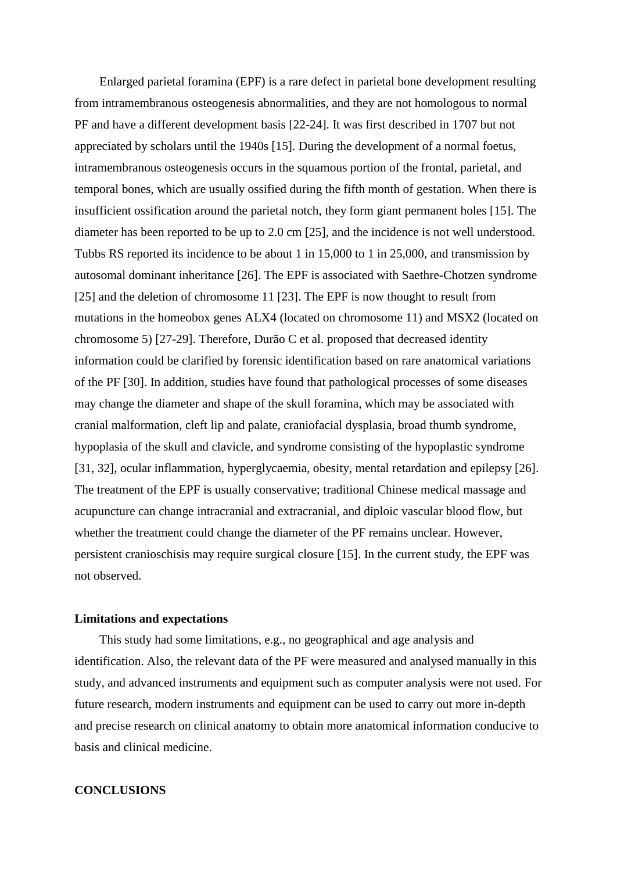Enlarged parietal foramina (EPF) is a rare defect in parietal bone development resulting from intramembranous osteogenesis abnormalities, and they are not homologous to normal PF and have a different development basis [22-24]. It was first described in 1707 but not appreciated by scholars until the 1940s [15]. During the development of a normal foetus, intramembranous osteogenesis occurs in the squamous portion of the frontal, parietal, and temporal bones, which are usually ossified during the fifth month of gestation. When there is insufficient ossification around the parietal notch, they form giant permanent holes [15]. The diameter has been reported to be up to 2.0 cm [25], and the incidence is not well understood. Tubbs RS reported its incidence to be about 1 in 15,000 to 1 in 25,000, and transmission by autosomal dominant inheritance [26]. The EPF is associated with Saethre-Chotzen syndrome [25] and the deletion of chromosome 11 [23]. The EPF is now thought to result from mutations in the homeobox genes ALX4 (located on chromosome 11) and MSX2 (located on chromosome 5) [27-29]. Therefore, Durão C et al. proposed that decreased identity information could be clarified by forensic identification based on rare anatomical variations of the PF [30]. In addition, studies have found that pathological processes of some diseases may change the diameter and shape of the skull foramina, which may be associated with cranial malformation, cleft lip and palate, craniofacial dysplasia, broad thumb syndrome, hypoplasia of the skull and clavicle, and syndrome consisting of the hypoplastic syndrome [31, 32], ocular inflammation, hyperglycaemia, obesity, mental retardation and epilepsy [26]. The treatment of the EPF is usually conservative; traditional Chinese medical massage and acupuncture can change intracranial and extracranial, and diploic vascular blood flow, but whether the treatment could change the diameter of the PF remains unclear. However, persistent cranioschisis may require surgical closure [15]. In the current study, the EPF was not observed.

#### **Limitations and expectations**

This study had some limitations, e.g., no geographical and age analysis and identification. Also, the relevant data of the PF were measured and analysed manually in this study, and advanced instruments and equipment such as computer analysis were not used. For future research, modern instruments and equipment can be used to carry out more in-depth and precise research on clinical anatomy to obtain more anatomical information conducive to basis and clinical medicine.

# **CONCLUSIONS**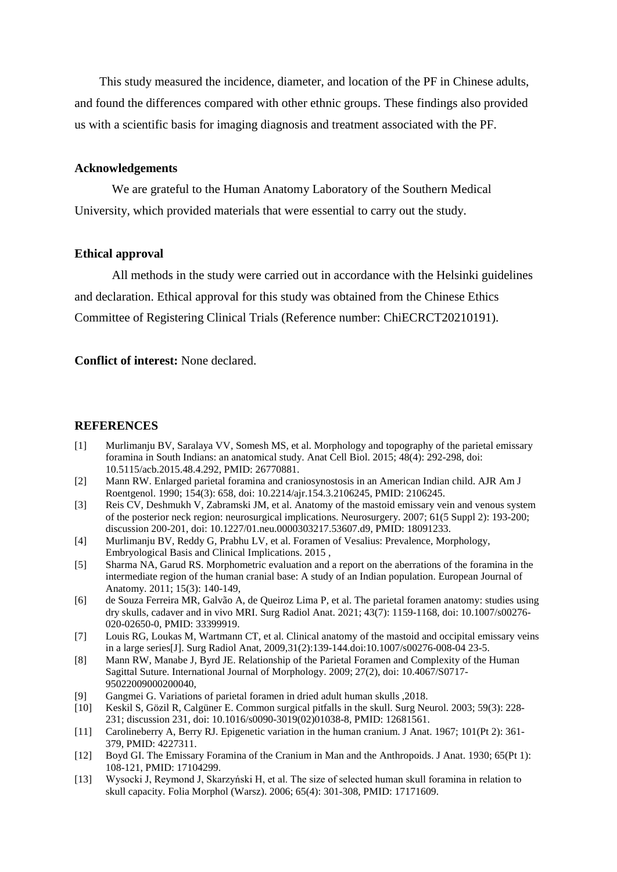This study measured the incidence, diameter, and location of the PF in Chinese adults, and found the differences compared with other ethnic groups. These findings also provided us with a scientific basis for imaging diagnosis and treatment associated with the PF.

# **Acknowledgements**

We are grateful to the Human Anatomy Laboratory of the Southern Medical University, which provided materials that were essential to carry out the study.

# **Ethical approval**

All methods in the study were carried out in accordance with the Helsinki guidelines and declaration. Ethical approval for this study was obtained from the Chinese Ethics Committee of Registering Clinical Trials (Reference number: ChiECRCT20210191).

**Conflict of interest:** None declared.

# **REFERENCES**

- [1] Murlimanju BV, Saralaya VV, Somesh MS, et al. Morphology and topography of the parietal emissary foramina in South Indians: an anatomical study. Anat Cell Biol. 2015; 48(4): 292-298, doi: 10.5115/acb.2015.48.4.292, PMID: 26770881.
- [2] Mann RW. Enlarged parietal foramina and craniosynostosis in an American Indian child. AJR Am J Roentgenol. 1990; 154(3): 658, doi: 10.2214/ajr.154.3.2106245, PMID: 2106245.
- [3] Reis CV, Deshmukh V, Zabramski JM, et al. Anatomy of the mastoid emissary vein and venous system of the posterior neck region: neurosurgical implications. Neurosurgery. 2007; 61(5 Suppl 2): 193-200; discussion 200-201, doi: 10.1227/01.neu.0000303217.53607.d9, PMID: 18091233.
- [4] Murlimanju BV, Reddy G, Prabhu LV, et al. Foramen of Vesalius: Prevalence, Morphology, Embryological Basis and Clinical Implications. 2015 ,
- [5] Sharma NA, Garud RS. Morphometric evaluation and a report on the aberrations of the foramina in the intermediate region of the human cranial base: A study of an Indian population. European Journal of Anatomy. 2011; 15(3): 140-149,
- [6] de Souza Ferreira MR, Galvão A, de Queiroz Lima P, et al. The parietal foramen anatomy: studies using dry skulls, cadaver and in vivo MRI. Surg Radiol Anat. 2021; 43(7): 1159-1168, doi: 10.1007/s00276- 020-02650-0, PMID: 33399919.
- [7] Louis RG, Loukas M, Wartmann CT, et al. Clinical anatomy of the mastoid and occipital emissary veins in a large series[J]. Surg Radiol Anat, 2009,31(2):139-144.doi:10.1007/s00276-008-04 23-5.
- [8] Mann RW, Manabe J, Byrd JE. Relationship of the Parietal Foramen and Complexity of the Human Sagittal Suture. International Journal of Morphology. 2009; 27(2), doi: 10.4067/S0717- 95022009000200040,
- [9] Gangmei G. Variations of parietal foramen in dried adult human skulls ,2018.
- [10] Keskil S, Gözil R, Calgüner E. Common surgical pitfalls in the skull. Surg Neurol. 2003; 59(3): 228- 231; discussion 231, doi: 10.1016/s0090-3019(02)01038-8, PMID: 12681561.
- [11] Carolineberry A, Berry RJ. Epigenetic variation in the human cranium. J Anat. 1967; 101(Pt 2): 361- 379, PMID: 4227311.
- [12] Boyd GI. The Emissary Foramina of the Cranium in Man and the Anthropoids. J Anat. 1930; 65(Pt 1): 108-121, PMID: 17104299.
- [13] Wysocki J, Reymond J, Skarzyński H, et al. The size of selected human skull foramina in relation to skull capacity. Folia Morphol (Warsz). 2006; 65(4): 301-308, PMID: 17171609.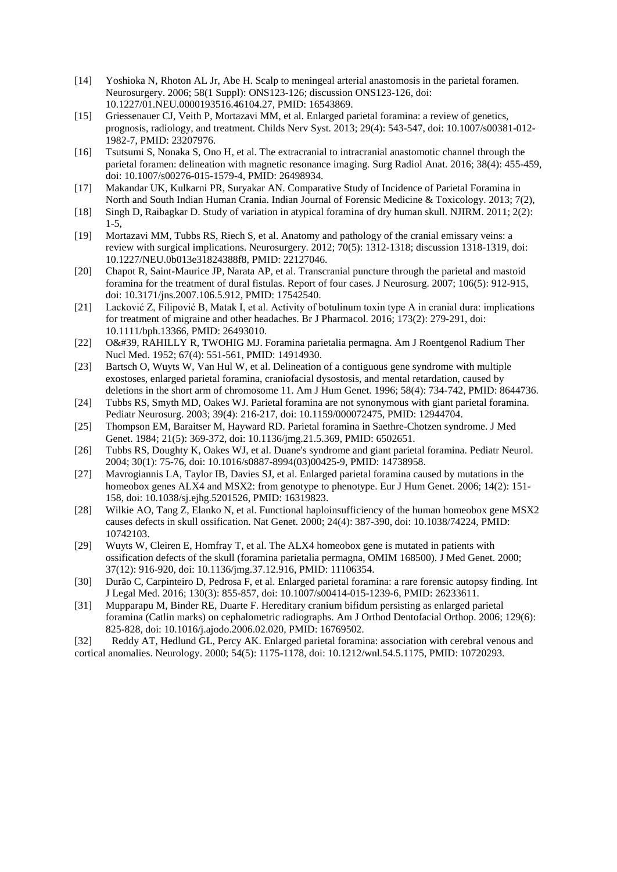- [14] Yoshioka N, Rhoton AL Jr, Abe H. Scalp to meningeal arterial anastomosis in the parietal foramen. Neurosurgery. 2006; 58(1 Suppl): ONS123-126; discussion ONS123-126, doi: 10.1227/01.NEU.0000193516.46104.27, PMID: 16543869.
- [15] Griessenauer CJ, Veith P, Mortazavi MM, et al. Enlarged parietal foramina: a review of genetics, prognosis, radiology, and treatment. Childs Nerv Syst. 2013; 29(4): 543-547, doi: 10.1007/s00381-012- 1982-7, PMID: 23207976.
- [16] Tsutsumi S, Nonaka S, Ono H, et al. The extracranial to intracranial anastomotic channel through the parietal foramen: delineation with magnetic resonance imaging. Surg Radiol Anat. 2016; 38(4): 455-459, doi: 10.1007/s00276-015-1579-4, PMID: 26498934.
- [17] Makandar UK, Kulkarni PR, Suryakar AN. Comparative Study of Incidence of Parietal Foramina in North and South Indian Human Crania. Indian Journal of Forensic Medicine & Toxicology. 2013; 7(2),
- [18] Singh D, Raibagkar D. Study of variation in atypical foramina of dry human skull. NJIRM. 2011; 2(2): 1-5,
- [19] Mortazavi MM, Tubbs RS, Riech S, et al. Anatomy and pathology of the cranial emissary veins: a review with surgical implications. Neurosurgery. 2012; 70(5): 1312-1318; discussion 1318-1319, doi: 10.1227/NEU.0b013e31824388f8, PMID: 22127046.
- [20] Chapot R, Saint-Maurice JP, Narata AP, et al. Transcranial puncture through the parietal and mastoid foramina for the treatment of dural fistulas. Report of four cases. J Neurosurg. 2007; 106(5): 912-915, doi: 10.3171/jns.2007.106.5.912, PMID: 17542540.
- [21] Lacković Z, Filipović B, Matak I, et al. Activity of botulinum toxin type A in cranial dura: implications for treatment of migraine and other headaches. Br J Pharmacol. 2016; 173(2): 279-291, doi: 10.1111/bph.13366, PMID: 26493010.
- [22] O&#39, RAHILLY R, TWOHIG MJ. Foramina parietalia permagna. Am J Roentgenol Radium Ther Nucl Med. 1952; 67(4): 551-561, PMID: 14914930.
- [23] Bartsch O, Wuyts W, Van Hul W, et al. Delineation of a contiguous gene syndrome with multiple exostoses, enlarged parietal foramina, craniofacial dysostosis, and mental retardation, caused by deletions in the short arm of chromosome 11. Am J Hum Genet. 1996; 58(4): 734-742, PMID: 8644736.
- [24] Tubbs RS, Smyth MD, Oakes WJ. Parietal foramina are not synonymous with giant parietal foramina. Pediatr Neurosurg. 2003; 39(4): 216-217, doi: 10.1159/000072475, PMID: 12944704.
- [25] Thompson EM, Baraitser M, Hayward RD. Parietal foramina in Saethre-Chotzen syndrome. J Med Genet. 1984; 21(5): 369-372, doi: 10.1136/jmg.21.5.369, PMID: 6502651.
- [26] Tubbs RS, Doughty K, Oakes WJ, et al. Duane's syndrome and giant parietal foramina. Pediatr Neurol. 2004; 30(1): 75-76, doi: 10.1016/s0887-8994(03)00425-9, PMID: 14738958.
- [27] Mavrogiannis LA, Taylor IB, Davies SJ, et al. Enlarged parietal foramina caused by mutations in the homeobox genes ALX4 and MSX2: from genotype to phenotype. Eur J Hum Genet. 2006; 14(2): 151-158, doi: 10.1038/sj.ejhg.5201526, PMID: 16319823.
- [28] Wilkie AO, Tang Z, Elanko N, et al. Functional haploinsufficiency of the human homeobox gene MSX2 causes defects in skull ossification. Nat Genet. 2000; 24(4): 387-390, doi: 10.1038/74224, PMID: 10742103.
- [29] Wuyts W, Cleiren E, Homfray T, et al. The ALX4 homeobox gene is mutated in patients with ossification defects of the skull (foramina parietalia permagna, OMIM 168500). J Med Genet. 2000; 37(12): 916-920, doi: 10.1136/jmg.37.12.916, PMID: 11106354.
- [30] Durão C, Carpinteiro D, Pedrosa F, et al. Enlarged parietal foramina: a rare forensic autopsy finding. Int J Legal Med. 2016; 130(3): 855-857, doi: 10.1007/s00414-015-1239-6, PMID: 26233611.
- [31] Mupparapu M, Binder RE, Duarte F. Hereditary cranium bifidum persisting as enlarged parietal foramina (Catlin marks) on cephalometric radiographs. Am J Orthod Dentofacial Orthop. 2006; 129(6): 825-828, doi: 10.1016/j.ajodo.2006.02.020, PMID: 16769502.
- [32] Reddy AT, Hedlund GL, Percy AK. Enlarged parietal foramina: association with cerebral venous and cortical anomalies. Neurology. 2000; 54(5): 1175-1178, doi: 10.1212/wnl.54.5.1175, PMID: 10720293.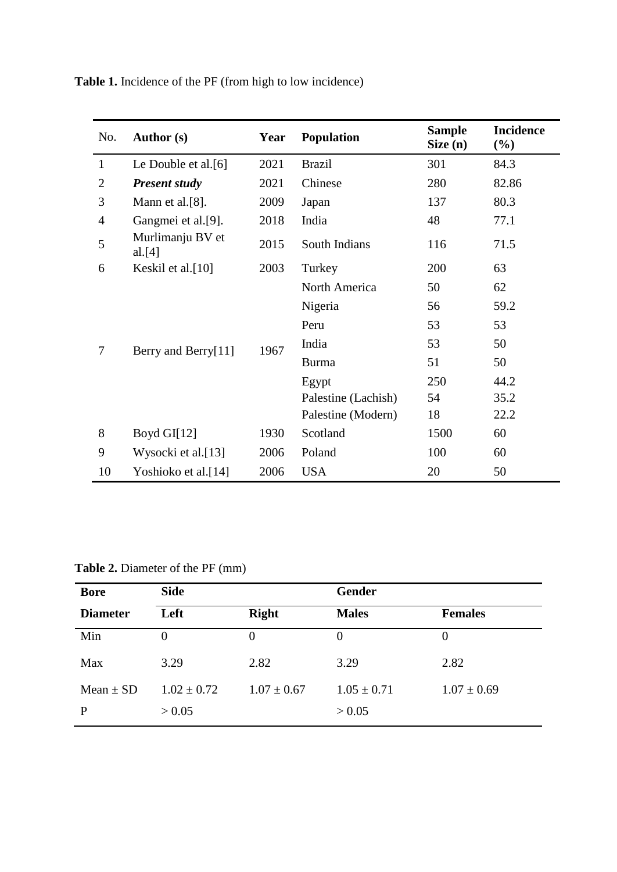| No.            | Author (s)                 | Year | <b>Population</b>   | <b>Sample</b><br>Size(n) | <b>Incidence</b><br>$(\%)$ |
|----------------|----------------------------|------|---------------------|--------------------------|----------------------------|
| $\mathbf{1}$   | Le Double et al.[6]        | 2021 | <b>Brazil</b>       | 301                      | 84.3                       |
| $\overline{2}$ | <b>Present study</b>       | 2021 | Chinese             | 280                      | 82.86                      |
| 3              | Mann et al.[8].            | 2009 | Japan               | 137                      | 80.3                       |
| $\overline{4}$ | Gangmei et al.[9].         | 2018 | India               | 48                       | 77.1                       |
| 5              | Murlimanju BV et<br>al.[4] | 2015 | South Indians       | 116                      | 71.5                       |
| 6              | Keskil et al.[10]          | 2003 | Turkey              | 200                      | 63                         |
|                |                            |      | North America       | 50                       | 62                         |
|                | Berry and Berry[11]        |      | Nigeria             | 56                       | 59.2                       |
|                |                            | 1967 | Peru                | 53                       | 53                         |
| 7              |                            |      | India               | 53                       | 50                         |
|                |                            |      | <b>Burma</b>        | 51                       | 50                         |
|                |                            |      | Egypt               | 250                      | 44.2                       |
|                |                            |      | Palestine (Lachish) | 54                       | 35.2                       |
|                |                            |      | Palestine (Modern)  | 18                       | 22.2                       |
| 8              | Boyd GI $[12]$             | 1930 | Scotland            | 1500                     | 60                         |
| 9              | Wysocki et al.[13]         | 2006 | Poland              | 100                      | 60                         |
| 10             | Yoshioko et al.[14]        | 2006 | <b>USA</b>          | 20                       | 50                         |

**Table 1.** Incidence of the PF (from high to low incidence)

**Table 2.** Diameter of the PF (mm)

| <b>Bore</b>        | <b>Side</b>               |                 | Gender                    |                 |  |
|--------------------|---------------------------|-----------------|---------------------------|-----------------|--|
| <b>Diameter</b>    | Left                      | <b>Right</b>    | <b>Males</b>              | <b>Females</b>  |  |
| Min                | $\Omega$                  | $\theta$        | $\theta$                  | $\theta$        |  |
| Max                | 3.29                      | 2.82            | 3.29                      | 2.82            |  |
| Mean $\pm$ SD<br>P | $1.02 \pm 0.72$<br>> 0.05 | $1.07 \pm 0.67$ | $1.05 \pm 0.71$<br>> 0.05 | $1.07 \pm 0.69$ |  |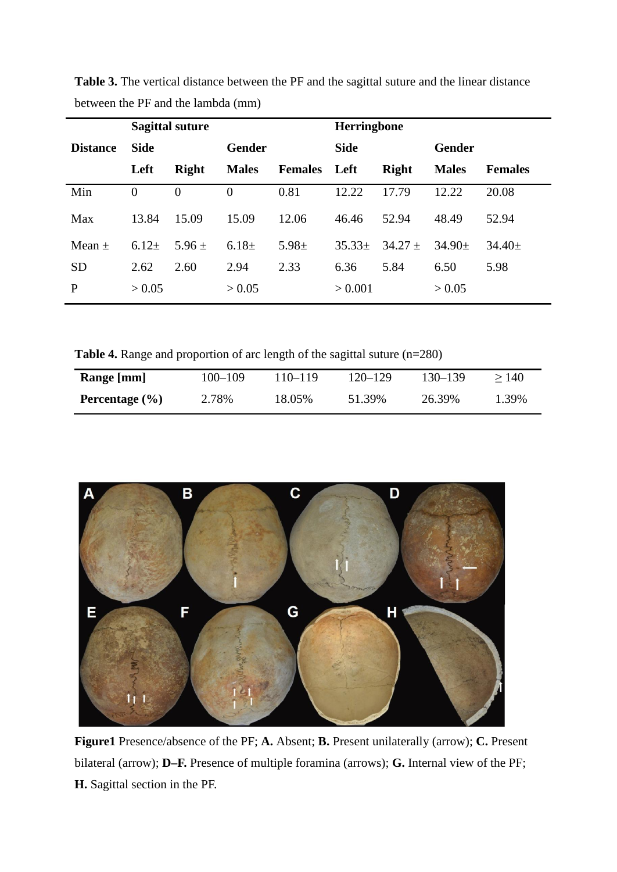|                 | <b>Sagittal suture</b> |              |               |                | Herringbone |              |               |                |
|-----------------|------------------------|--------------|---------------|----------------|-------------|--------------|---------------|----------------|
| <b>Distance</b> | <b>Side</b>            |              | <b>Gender</b> |                | <b>Side</b> |              | <b>Gender</b> |                |
|                 | Left                   | <b>Right</b> | <b>Males</b>  | <b>Females</b> | Left        | <b>Right</b> | <b>Males</b>  | <b>Females</b> |
| Min             | $\theta$               | $\Omega$     | $\Omega$      | 0.81           | 12.22       | 17.79        | 12.22         | 20.08          |
| Max             | 13.84                  | 15.09        | 15.09         | 12.06          | 46.46       | 52.94        | 48.49         | 52.94          |
| Mean $\pm$      | 6.12 $\pm$             | $5.96 \pm$   | 6.18 $\pm$    | $5.98 \pm$     | $35.33\pm$  | $34.27 \pm$  | $34.90 \pm$   | $34.40 \pm$    |
| <b>SD</b>       | 2.62                   | 2.60         | 2.94          | 2.33           | 6.36        | 5.84         | 6.50          | 5.98           |
| P               | > 0.05                 |              | > 0.05        |                | > 0.001     |              | > 0.05        |                |

**Table 3.** The vertical distance between the PF and the sagittal suture and the linear distance between the PF and the lambda (mm)

**Table 4.** Range and proportion of arc length of the sagittal suture (n=280)

| Range [mm]         | $100 - 109$ | 110–119 | 120–129 | 130–139 | >140  |
|--------------------|-------------|---------|---------|---------|-------|
| Percentage $(\% )$ | 2.78%       | 18.05%  | 51.39%  | 26.39%  | 1.39% |



**Figure1** Presence/absence of the PF; **A.** Absent; **B.** Present unilaterally (arrow); **C.** Present bilateral (arrow); **D–F.** Presence of multiple foramina (arrows); **G.** Internal view of the PF; **H.** Sagittal section in the PF.